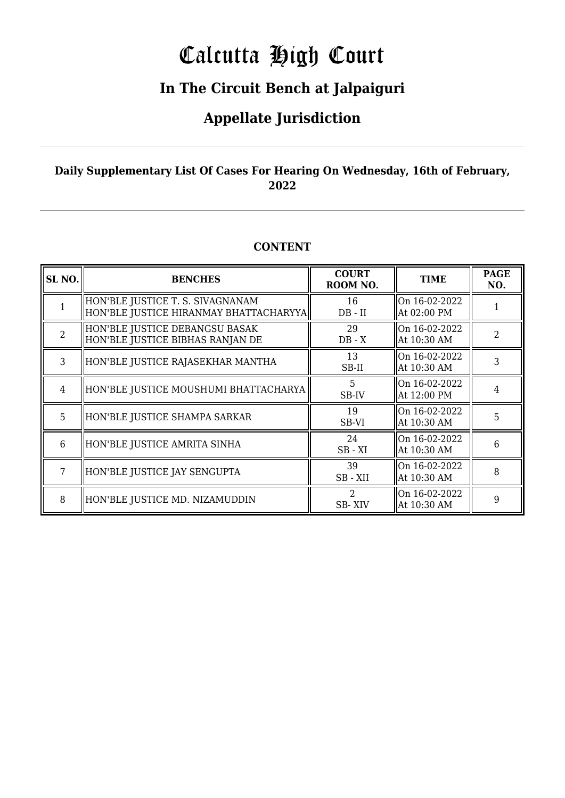# Calcutta High Court

### **In The Circuit Bench at Jalpaiguri**

### **Appellate Jurisdiction**

#### **Daily Supplementary List Of Cases For Hearing On Wednesday, 16th of February, 2022**

#### **CONTENT**

| SL <sub>NO.</sub> | <b>BENCHES</b>                                                             | <b>COURT</b><br>ROOM NO. | <b>TIME</b>                     | <b>PAGE</b><br>NO. |
|-------------------|----------------------------------------------------------------------------|--------------------------|---------------------------------|--------------------|
|                   | HON'BLE JUSTICE T. S. SIVAGNANAM<br>HON'BLE JUSTICE HIRANMAY BHATTACHARYYA | 16<br>$DB - II$          | On $16-02-2022$<br>At 02:00 PM  |                    |
| $\overline{2}$    | HON'BLE JUSTICE DEBANGSU BASAK<br>HON'BLE JUSTICE BIBHAS RANJAN DE         | 29<br>$DB - X$           | $ On 16-02-2022$<br>At 10:30 AM | 2                  |
| 3                 | HON'BLE JUSTICE RAJASEKHAR MANTHA                                          | 13<br>SB-II              | On $16-02-2022$<br>At 10:30 AM  | 3                  |
| $\overline{4}$    | HON'BLE JUSTICE MOUSHUMI BHATTACHARYA                                      | 5<br>SB-IV               | $ On 16-02-2022$<br>At 12:00 PM | 4                  |
| 5                 | HON'BLE JUSTICE SHAMPA SARKAR                                              | 19<br>SB-VI              | On $16-02-2022$<br>At 10:30 AM  | 5                  |
| 6                 | HON'BLE JUSTICE AMRITA SINHA                                               | 24<br>$SB - XI$          | On 16-02-2022<br>At 10:30 AM    | 6                  |
| 7                 | HON'BLE JUSTICE JAY SENGUPTA                                               | 39<br>SB-XII             | On $16-02-2022$<br>At 10:30 AM  | 8                  |
| 8                 | HON'BLE JUSTICE MD. NIZAMUDDIN                                             | 2<br>SB-XIV              | On $16-02-2022$<br>At 10:30 AM  | 9                  |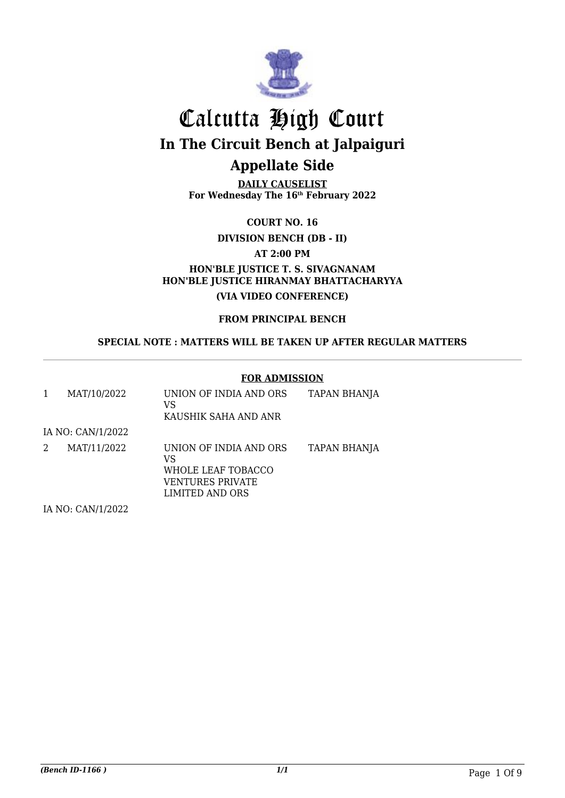

**DAILY CAUSELIST For Wednesday The 16th February 2022**

**COURT NO. 16**

**DIVISION BENCH (DB - II)**

**AT 2:00 PM**

**HON'BLE JUSTICE T. S. SIVAGNANAM HON'BLE JUSTICE HIRANMAY BHATTACHARYYA (VIA VIDEO CONFERENCE)**

**FROM PRINCIPAL BENCH**

**SPECIAL NOTE : MATTERS WILL BE TAKEN UP AFTER REGULAR MATTERS**

#### **FOR ADMISSION**

| 1 | MAT/10/2022                                                          | UNION OF INDIA AND ORS<br>VS<br>KAUSHIK SAHA AND ANR                                      | <b>TAPAN BHANJA</b> |
|---|----------------------------------------------------------------------|-------------------------------------------------------------------------------------------|---------------------|
|   | IA NO: CAN/1/2022                                                    |                                                                                           |                     |
| 2 | MAT/11/2022                                                          | UNION OF INDIA AND ORS<br>VS<br>WHOLE LEAF TOBACCO<br>VENTURES PRIVATE<br>LIMITED AND ORS | TAPAN BHANJA        |
|   | $H$ $\Lambda$ $D$ $\Lambda$ $\Lambda$ $H$ $H$ $P$ $\Lambda$ $\Omega$ |                                                                                           |                     |

IA NO: CAN/1/2022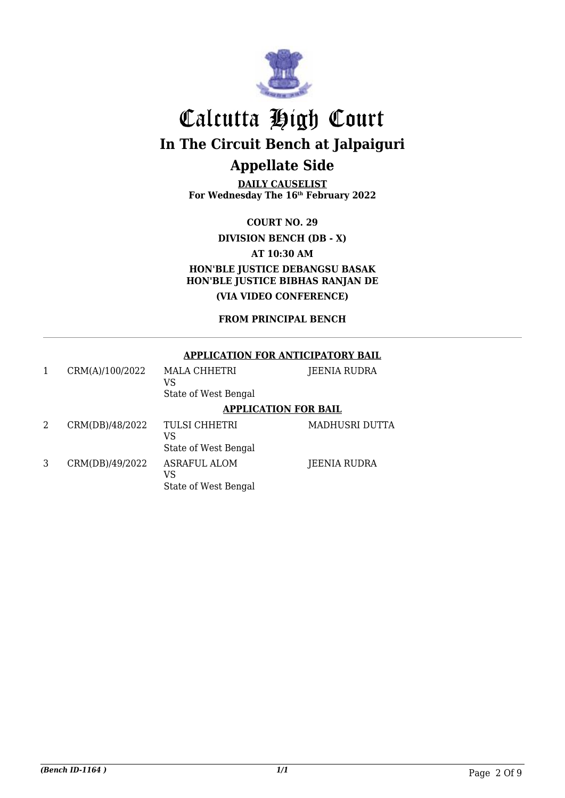

**DAILY CAUSELIST For Wednesday The 16th February 2022**

**COURT NO. 29**

**DIVISION BENCH (DB - X)**

**AT 10:30 AM**

**HON'BLE JUSTICE DEBANGSU BASAK HON'BLE JUSTICE BIBHAS RANJAN DE (VIA VIDEO CONFERENCE)**

**FROM PRINCIPAL BENCH**

#### **APPLICATION FOR ANTICIPATORY BAIL**

|   | CRM(A)/100/2022 | MALA CHHETRI<br>VS<br>State of West Bengal         | JEENIA RUDRA          |
|---|-----------------|----------------------------------------------------|-----------------------|
|   |                 | <b>APPLICATION FOR BAIL</b>                        |                       |
| 2 | CRM(DB)/48/2022 | <b>TULSI CHHETRI</b><br>VS<br>State of West Bengal | <b>MADHUSRI DUTTA</b> |
| 3 | CRM(DB)/49/2022 | <b>ASRAFUL ALOM</b><br>VS<br>State of West Bengal  | JEENIA RUDRA          |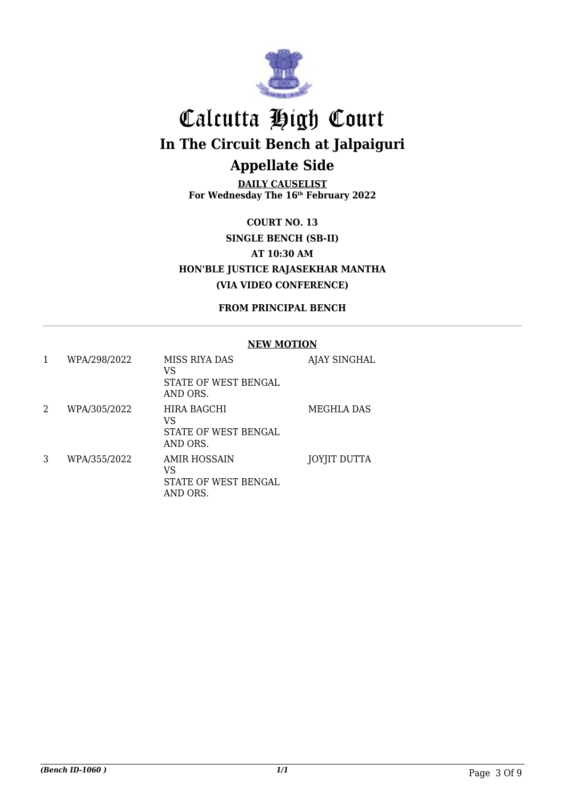

**DAILY CAUSELIST For Wednesday The 16th February 2022**

**COURT NO. 13 SINGLE BENCH (SB-II) AT 10:30 AM HON'BLE JUSTICE RAJASEKHAR MANTHA (VIA VIDEO CONFERENCE)**

**FROM PRINCIPAL BENCH**

#### **NEW MOTION**

| 1 | WPA/298/2022 | MISS RIYA DAS<br>VS<br>STATE OF WEST BENGAL<br>AND ORS.       | AJAY SINGHAL        |
|---|--------------|---------------------------------------------------------------|---------------------|
| 2 | WPA/305/2022 | HIRA BAGCHI<br>VS<br>STATE OF WEST BENGAL<br>AND ORS.         | MEGHLA DAS          |
| 3 | WPA/355/2022 | AMIR HOSSAIN<br>VS<br><b>STATE OF WEST BENGAL</b><br>AND ORS. | <b>JOYJIT DUTTA</b> |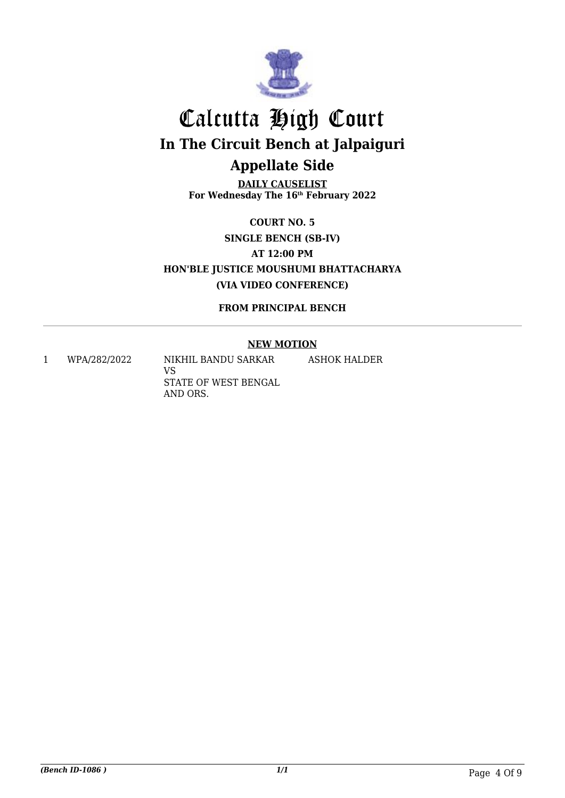

**DAILY CAUSELIST For Wednesday The 16th February 2022**

**COURT NO. 5 SINGLE BENCH (SB-IV) AT 12:00 PM HON'BLE JUSTICE MOUSHUMI BHATTACHARYA (VIA VIDEO CONFERENCE)**

**FROM PRINCIPAL BENCH**

#### **NEW MOTION**

ASHOK HALDER

1 WPA/282/2022 NIKHIL BANDU SARKAR

VS STATE OF WEST BENGAL AND ORS.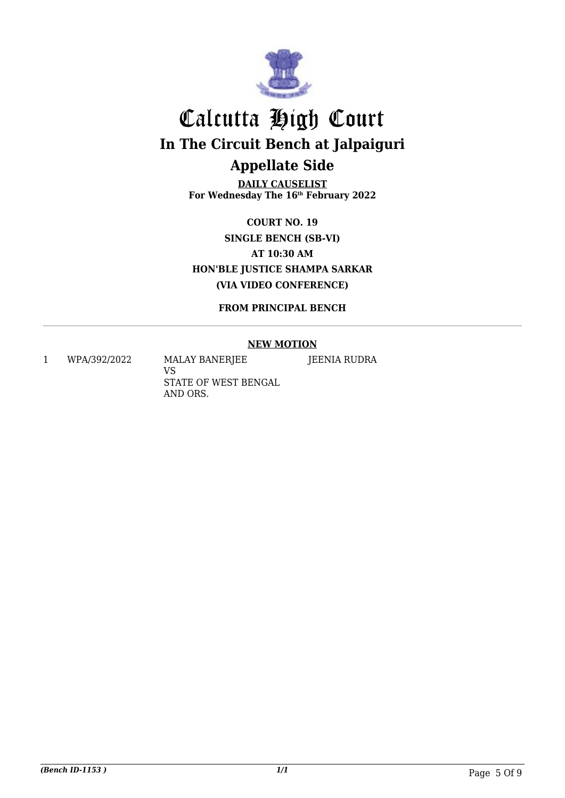

**DAILY CAUSELIST For Wednesday The 16th February 2022**

**COURT NO. 19 SINGLE BENCH (SB-VI) AT 10:30 AM HON'BLE JUSTICE SHAMPA SARKAR (VIA VIDEO CONFERENCE)**

**FROM PRINCIPAL BENCH**

#### **NEW MOTION**

JEENIA RUDRA

1 WPA/392/2022 MALAY BANERJEE

VS STATE OF WEST BENGAL AND ORS.

*(Bench ID-1153 ) 1/1* Page 5 Of 9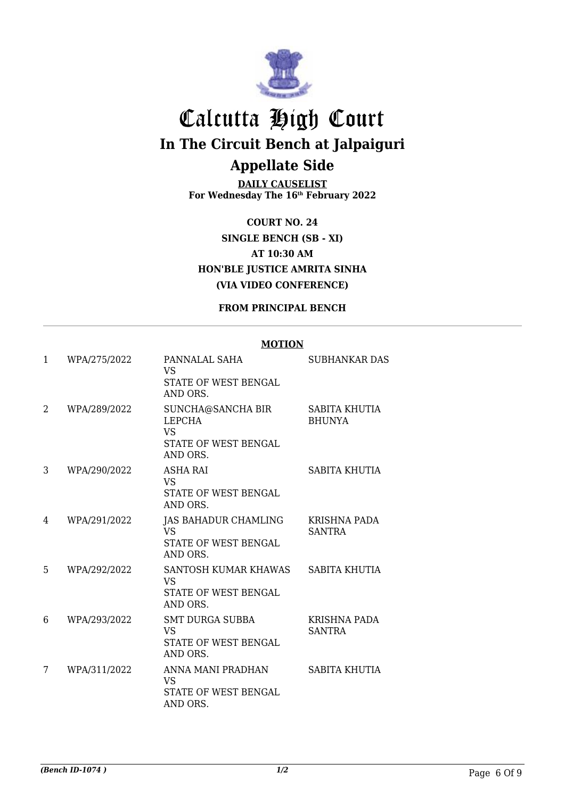

**DAILY CAUSELIST For Wednesday The 16th February 2022**

**COURT NO. 24 SINGLE BENCH (SB - XI) AT 10:30 AM HON'BLE JUSTICE AMRITA SINHA (VIA VIDEO CONFERENCE)**

**FROM PRINCIPAL BENCH**

#### **MOTION**

| 1 | WPA/275/2022 | PANNALAL SAHA<br><b>VS</b><br><b>STATE OF WEST BENGAL</b><br>AND ORS.               | <b>SUBHANKAR DAS</b>                 |
|---|--------------|-------------------------------------------------------------------------------------|--------------------------------------|
| 2 | WPA/289/2022 | SUNCHA@SANCHA BIR<br><b>LEPCHA</b><br><b>VS</b><br>STATE OF WEST BENGAL<br>AND ORS. | SABITA KHUTIA<br><b>BHUNYA</b>       |
| 3 | WPA/290/2022 | <b>ASHA RAI</b><br><b>VS</b><br>STATE OF WEST BENGAL<br>AND ORS.                    | <b>SABITA KHUTIA</b>                 |
| 4 | WPA/291/2022 | <b>JAS BAHADUR CHAMLING</b><br><b>VS</b><br><b>STATE OF WEST BENGAL</b><br>AND ORS. | <b>KRISHNA PADA</b><br><b>SANTRA</b> |
| 5 | WPA/292/2022 | SANTOSH KUMAR KHAWAS<br><b>VS</b><br><b>STATE OF WEST BENGAL</b><br>AND ORS.        | SABITA KHUTIA                        |
| 6 | WPA/293/2022 | <b>SMT DURGA SUBBA</b><br><b>VS</b><br>STATE OF WEST BENGAL<br>AND ORS.             | <b>KRISHNA PADA</b><br><b>SANTRA</b> |
| 7 | WPA/311/2022 | ANNA MANI PRADHAN<br><b>VS</b><br><b>STATE OF WEST BENGAL</b><br>AND ORS.           | SABITA KHUTIA                        |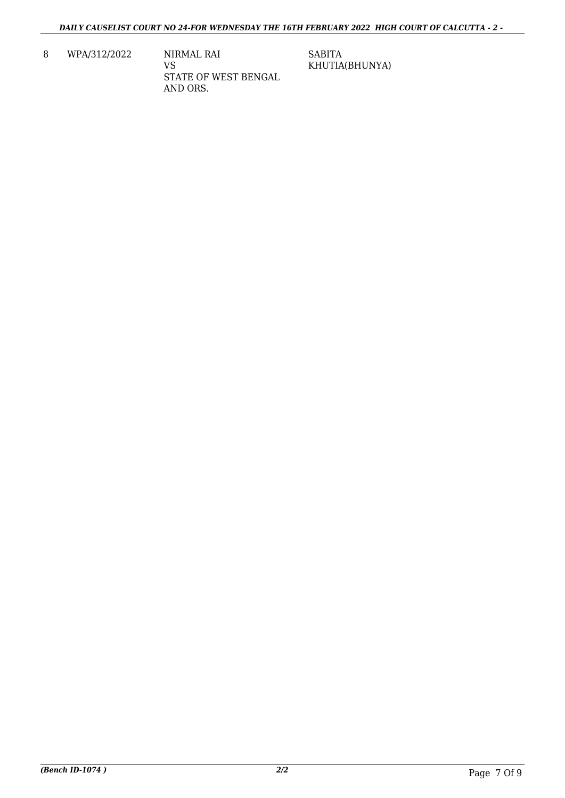8 WPA/312/2022 NIRMAL RAI VS STATE OF WEST BENGAL AND ORS.

SABITA KHUTIA(BHUNYA)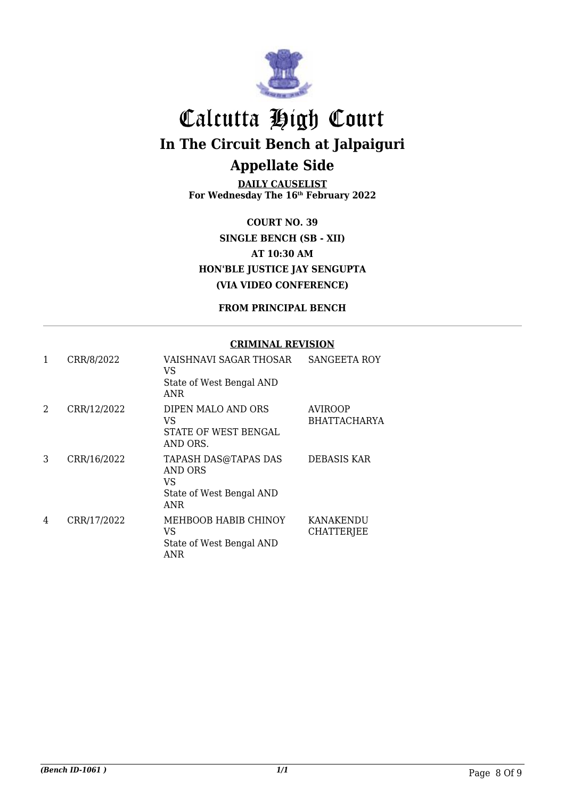

**DAILY CAUSELIST For Wednesday The 16th February 2022**

**COURT NO. 39 SINGLE BENCH (SB - XII) AT 10:30 AM HON'BLE JUSTICE JAY SENGUPTA (VIA VIDEO CONFERENCE)**

#### **FROM PRINCIPAL BENCH**

#### **CRIMINAL REVISION**

| 1 | CRR/8/2022  | VAISHNAVI SAGAR THOSAR<br>VS<br>State of West Bengal AND<br>ANR                        | <b>SANGEETA ROY</b>            |
|---|-------------|----------------------------------------------------------------------------------------|--------------------------------|
| 2 | CRR/12/2022 | DIPEN MALO AND ORS<br>VS<br>STATE OF WEST BENGAL<br>AND ORS.                           | AVIROOP<br><b>BHATTACHARYA</b> |
| 3 | CRR/16/2022 | <b>TAPASH DAS@TAPAS DAS</b><br>AND ORS<br>VS<br>State of West Bengal AND<br><b>ANR</b> | <b>DEBASIS KAR</b>             |
| 4 | CRR/17/2022 | MEHBOOB HABIB CHINOY<br>VS<br>State of West Bengal AND<br>ANR                          | KANAKENDU<br><b>CHATTERJEE</b> |